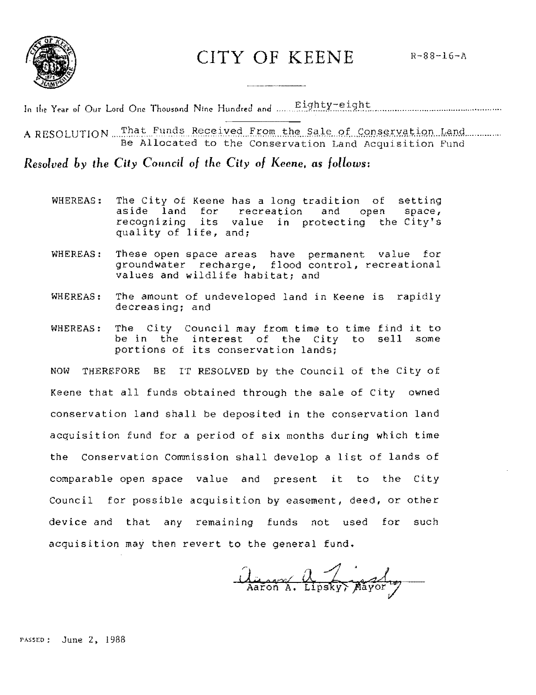

CITY OF KEENE

In the Year of Our Lord One Thousand Nine Hundred and Eighty-eight

A RESOLUTION That Funds Received From the Sale of Conservation Land Be Allocated to the Conservation Land Acquisition Fund

Resolved by the City Council of the City of Keene, as follows:

- WHEREAS: The City of Keene has a long tradition of setting aside land for recreation and open space, recognizing its value in protecting the City's quality of life, and;
- These open space areas have permanent value for<br>groundwater recharge, flood control, recreational WHEREAS: values and wildlife habitat; and
- The amount of undeveloped land in Keene is rapidly WHEREAS: decreasing; and
- WHEREAS: The City Council may from time to time find it to be in the interest of the City to sell some portions of its conservation lands;

NOW THEREFORE BE IT RESOLVED by the Council of the City of Keene that all funds obtained through the sale of City owned conservation land shall be deposited in the conservation land acquisition fund for a period of six months during which time the Conservation Commission shall develop a list of lands of comparable open space value and present it to the City Council for possible acquisition by easement, deed, or other device and that any remaining funds not used for such acquisition may then revert to the general fund.

August 2 Lipsky, Mayor